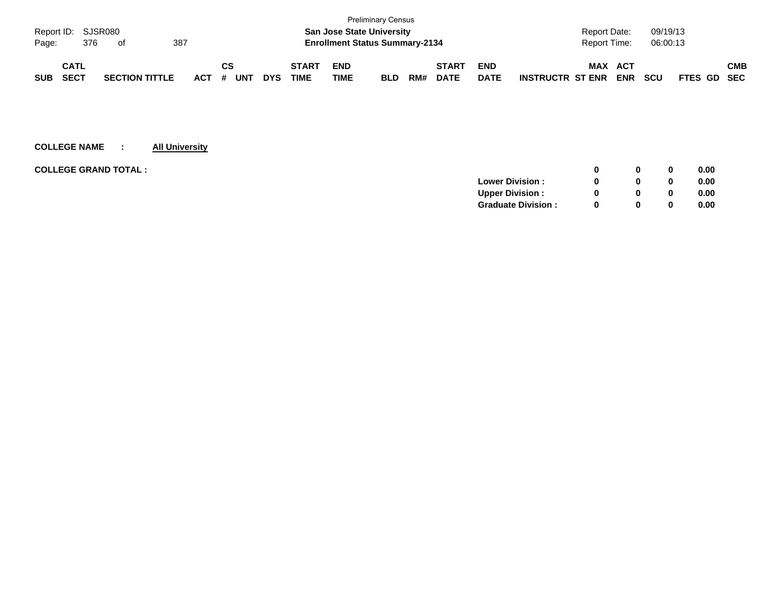|                    |             |     |                       |     |         |    |     |            |              |                                       | <b>Preliminary Census</b> |     |              |             |                         |                     |            |            |             |     |
|--------------------|-------------|-----|-----------------------|-----|---------|----|-----|------------|--------------|---------------------------------------|---------------------------|-----|--------------|-------------|-------------------------|---------------------|------------|------------|-------------|-----|
| Report ID: SJSR080 |             |     |                       |     |         |    |     |            |              | <b>San Jose State University</b>      |                           |     |              |             |                         | <b>Report Date:</b> |            | 09/19/13   |             |     |
| Page:              |             | 376 | of                    | 387 |         |    |     |            |              | <b>Enrollment Status Summary-2134</b> |                           |     |              |             |                         | <b>Report Time:</b> |            | 06:00:13   |             |     |
|                    |             |     |                       |     |         |    |     |            |              |                                       |                           |     |              |             |                         |                     |            |            |             |     |
|                    | <b>CATL</b> |     |                       |     |         | СS |     |            | <b>START</b> | <b>END</b>                            |                           |     | <b>START</b> | <b>END</b>  |                         | MAX                 | ACT        |            |             | СМВ |
| <b>SUB</b>         | SECT        |     | <b>SECTION TITTLE</b> |     | $ACT$ # |    | UNT | <b>DYS</b> | <b>TIME</b>  | TIME                                  | <b>BLD</b>                | RM# | <b>DATE</b>  | <b>DATE</b> | <b>INSTRUCTR ST ENR</b> |                     | <b>ENR</b> | <b>SCU</b> | FTES GD SEC |     |

| <b>COLLEGE GRAND TOTAL :</b> |                           |          | 0        | 0.00 |
|------------------------------|---------------------------|----------|----------|------|
|                              | <b>Lower Division:</b>    |          | $\bf{0}$ | 0.00 |
|                              | <b>Upper Division:</b>    |          | 0        | 0.00 |
|                              | <b>Graduate Division:</b> | $\Omega$ | 0        | 0.00 |
|                              |                           |          |          |      |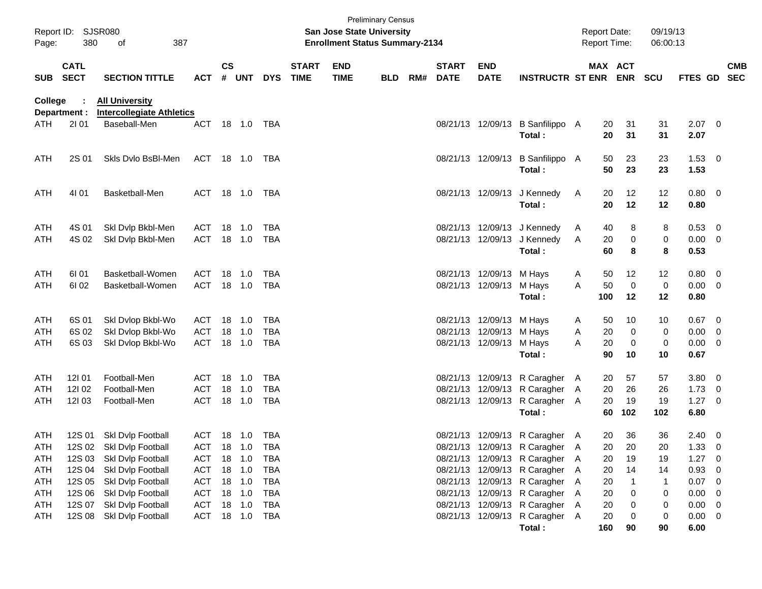| Report ID:<br>Page:      | 380                        | SJSR080<br>387<br>οf                                                                    |                                        |               |                                      |                          |                             | San Jose State University<br><b>Enrollment Status Summary-2134</b> | <b>Preliminary Census</b> |     |                             |                                                                         |                                                                                                                                  |               | <b>Report Date:</b><br><b>Report Time:</b> |                              | 09/19/13<br>06:00:13 |                              |                                           |                          |
|--------------------------|----------------------------|-----------------------------------------------------------------------------------------|----------------------------------------|---------------|--------------------------------------|--------------------------|-----------------------------|--------------------------------------------------------------------|---------------------------|-----|-----------------------------|-------------------------------------------------------------------------|----------------------------------------------------------------------------------------------------------------------------------|---------------|--------------------------------------------|------------------------------|----------------------|------------------------------|-------------------------------------------|--------------------------|
| <b>SUB</b>               | <b>CATL</b><br><b>SECT</b> | <b>SECTION TITTLE</b>                                                                   | <b>ACT</b>                             | $\mathsf{cs}$ | # UNT                                | <b>DYS</b>               | <b>START</b><br><b>TIME</b> | <b>END</b><br><b>TIME</b>                                          | <b>BLD</b>                | RM# | <b>START</b><br><b>DATE</b> | <b>END</b><br><b>DATE</b>                                               | <b>INSTRUCTR ST ENR</b>                                                                                                          |               | MAX ACT                                    | <b>ENR</b>                   | <b>SCU</b>           | FTES GD                      |                                           | <b>CMB</b><br><b>SEC</b> |
| College<br>ATH           | ÷<br>Department :<br>2101  | <b>All University</b><br><b>Intercollegiate Athletics</b><br>Baseball-Men               | <b>ACT</b>                             |               | 18 1.0                               | TBA                      |                             |                                                                    |                           |     |                             | 08/21/13 12/09/13                                                       | B Sanfilippo A                                                                                                                   |               | 20                                         | 31                           | 31                   | $2.07 \t 0$                  |                                           |                          |
| ATH                      | 2S 01                      | Skls Dvlo BsBI-Men                                                                      | ACT                                    |               | 18 1.0                               | TBA                      |                             |                                                                    |                           |     |                             | 08/21/13 12/09/13                                                       | Total:<br>B Sanfilippo A<br>Total:                                                                                               |               | 20<br>50<br>50                             | 31<br>23<br>23               | 31<br>23<br>23       | 2.07<br>1.53<br>1.53         | - 0                                       |                          |
| ATH                      | 4101                       | Basketball-Men                                                                          | <b>ACT</b>                             |               | 18  1.0                              | TBA                      |                             |                                                                    |                           |     |                             | 08/21/13 12/09/13                                                       | J Kennedy<br>Total:                                                                                                              | A             | 20<br>20                                   | 12<br>12                     | 12<br>12             | 0.80<br>0.80                 | $\overline{\phantom{0}}$                  |                          |
| ATH<br>ATH               | 4S 01<br>4S 02             | Skl Dvlp Bkbl-Men<br>Ski Dvip Bkbl-Men                                                  | ACT<br><b>ACT</b>                      | 18            | 1.0<br>18 1.0                        | TBA<br>TBA               |                             |                                                                    |                           |     |                             | 08/21/13 12/09/13<br>08/21/13 12/09/13                                  | J Kennedy<br>J Kennedy<br>Total:                                                                                                 | A<br>A        | 40<br>20<br>60                             | 8<br>0<br>8                  | 8<br>0<br>8          | 0.53<br>0.00<br>0.53         | $\overline{0}$<br>$\overline{\mathbf{0}}$ |                          |
| ATH<br>ATH               | 61 01<br>61 02             | Basketball-Women<br>Basketball-Women                                                    | ACT<br><b>ACT</b>                      | 18            | 1.0<br>18 1.0                        | TBA<br>TBA               |                             |                                                                    |                           |     |                             | 08/21/13 12/09/13 M Hays<br>08/21/13 12/09/13                           | M Hays<br>Total:                                                                                                                 | A<br>A        | 50<br>50<br>100                            | 12<br>0<br>12                | 12<br>0<br>12        | 0.80<br>0.00<br>0.80         | $\overline{0}$<br>- 0                     |                          |
| ATH<br>ATH<br>ATH        | 6S 01<br>6S 02<br>6S 03    | Skl Dvlop Bkbl-Wo<br>Skl Dvlop Bkbl-Wo<br>Skl Dvlop Bkbl-Wo                             | ACT<br><b>ACT</b><br><b>ACT</b>        | 18<br>18      | 1.0<br>1.0<br>18 1.0                 | TBA<br>TBA<br>TBA        |                             |                                                                    |                           |     | 08/21/13                    | 08/21/13 12/09/13 M Hays<br>12/09/13 M Hays<br>08/21/13 12/09/13 M Hays |                                                                                                                                  | A<br>A<br>A   | 50<br>20<br>20                             | 10<br>0<br>0                 | 10<br>0<br>0         | 0.67<br>0.00<br>0.00         | - 0<br>- 0<br>0                           |                          |
| ATH<br>ATH<br>ATH        | 12101<br>12102<br>12103    | Football-Men<br>Football-Men<br>Football-Men                                            | <b>ACT</b><br><b>ACT</b><br><b>ACT</b> | 18<br>18      | 1.0<br>$-1.0$<br>18 1.0              | TBA<br>TBA<br>TBA        |                             |                                                                    |                           |     | 08/21/13                    | 08/21/13 12/09/13<br>12/09/13<br>08/21/13 12/09/13                      | Total:<br>R Caragher<br>R Caragher<br>R Caragher                                                                                 | A<br>A<br>- A | 90<br>20<br>20<br>20                       | 10<br>57<br>26<br>19         | 10<br>57<br>26<br>19 | 0.67<br>3.80<br>1.73<br>1.27 | - 0<br>- 0<br>0                           |                          |
| ATH<br>ATH               | 12S 01                     | Skl Dvlp Football<br>12S 02 Skl Dvlp Football                                           | ACT<br>ACT 18 1.0 TBA                  |               | 18 1.0                               | TBA                      |                             |                                                                    |                           |     |                             |                                                                         | Total:<br>08/21/13 12/09/13 R Caragher A<br>08/21/13 12/09/13 R Caragher A                                                       |               | 60<br>20<br>20                             | 102<br>36<br>20              | 102<br>36<br>20      | 6.80<br>2.40<br>$1.33 \ 0$   | $\overline{0}$                            |                          |
| ATH<br>ATH<br>ATH<br>ATH | 12S 04<br>12S 05<br>12S 06 | 12S 03 Skl Dvlp Football<br>Skl Dvlp Football<br>Skl Dvlp Football<br>Skl Dvlp Football | ACT<br>ACT<br><b>ACT</b><br><b>ACT</b> |               | 18 1.0<br>18 1.0<br>18 1.0<br>18 1.0 | TBA<br>TBA<br>TBA<br>TBA |                             |                                                                    |                           |     |                             |                                                                         | 08/21/13 12/09/13 R Caragher A<br>08/21/13 12/09/13 R Caragher A<br>08/21/13 12/09/13 R Caragher<br>08/21/13 12/09/13 R Caragher | - A<br>A      | 20<br>20<br>20<br>20                       | 19<br>14<br>$\mathbf 1$<br>0 | 19<br>14<br>1<br>0   | 1.27<br>0.93<br>0.07<br>0.00 | 0<br>0<br>0<br>0                          |                          |
| ATH<br>ATH               | 12S 07<br>12S 08           | Skl Dvlp Football<br>Skl Dvlp Football                                                  | <b>ACT</b><br>ACT                      |               | 18 1.0<br>18 1.0                     | TBA<br>TBA               |                             |                                                                    |                           |     |                             |                                                                         | 08/21/13 12/09/13 R Caragher A<br>08/21/13 12/09/13 R Caragher A<br>Total:                                                       |               | 20<br>20<br>160                            | 0<br>0<br>90                 | 0<br>0<br>90         | 0.00<br>0.00<br>6.00         | 0<br>- 0                                  |                          |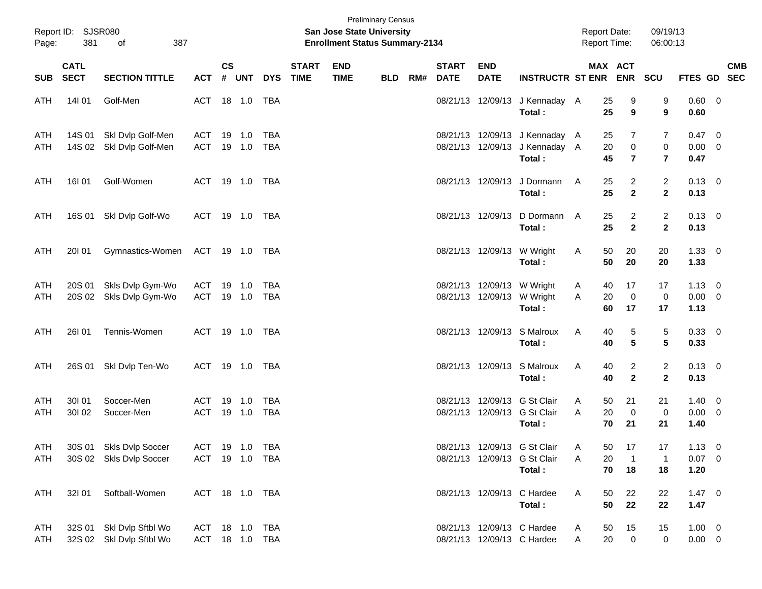| Page:      | Report ID: SJSR080<br>381  | 387<br>of                                            |                       |                    |                  |                          |                             | <b>San Jose State University</b><br><b>Enrollment Status Summary-2134</b> | <b>Preliminary Census</b> |     |                             |                           |                                                                            | <b>Report Date:</b><br><b>Report Time:</b> |                                    | 09/19/13<br>06:00:13           |                                       |            |
|------------|----------------------------|------------------------------------------------------|-----------------------|--------------------|------------------|--------------------------|-----------------------------|---------------------------------------------------------------------------|---------------------------|-----|-----------------------------|---------------------------|----------------------------------------------------------------------------|--------------------------------------------|------------------------------------|--------------------------------|---------------------------------------|------------|
| <b>SUB</b> | <b>CATL</b><br><b>SECT</b> | <b>SECTION TITTLE</b>                                | <b>ACT</b>            | $\mathsf{cs}$<br># | UNT              | <b>DYS</b>               | <b>START</b><br><b>TIME</b> | <b>END</b><br><b>TIME</b>                                                 | <b>BLD</b>                | RM# | <b>START</b><br><b>DATE</b> | <b>END</b><br><b>DATE</b> | <b>INSTRUCTR ST ENR</b>                                                    |                                            | MAX ACT<br>ENR SCU                 |                                | FTES GD SEC                           | <b>CMB</b> |
| ATH        | 14101                      | Golf-Men                                             | ACT 18 1.0            |                    |                  | TBA                      |                             |                                                                           |                           |     |                             |                           | 08/21/13 12/09/13 J Kennaday A<br>Total:                                   | 25<br>25                                   | 9<br>9                             | 9<br>9                         | $0.60 \t 0$<br>0.60                   |            |
| ATH<br>ATH | 14S 01<br>14S 02           | Skl Dvlp Golf-Men<br>Skl Dvlp Golf-Men               | ACT<br><b>ACT</b>     |                    | 19 1.0<br>19 1.0 | <b>TBA</b><br><b>TBA</b> |                             |                                                                           |                           |     |                             |                           | 08/21/13 12/09/13 J Kennaday A<br>08/21/13 12/09/13 J Kennaday A<br>Total: | 25<br>20<br>45                             | 7<br>$\mathbf 0$<br>$\overline{7}$ | 7<br>0<br>$\overline{7}$       | $0.47 \quad 0$<br>$0.00 \t 0$<br>0.47 |            |
| ATH        | 16101                      | Golf-Women                                           | ACT 19 1.0 TBA        |                    |                  |                          |                             |                                                                           |                           |     |                             | 08/21/13 12/09/13         | J Dormann<br>Total:                                                        | 25<br>A<br>25                              | $\overline{a}$<br>$\mathbf{2}$     | $\overline{c}$<br>$\mathbf{2}$ | $0.13 \quad 0$<br>0.13                |            |
| ATH        |                            | 16S 01 SkI Dvlp Golf-Wo                              | ACT 19 1.0 TBA        |                    |                  |                          |                             |                                                                           |                           |     |                             | 08/21/13 12/09/13         | D Dormann<br>Total:                                                        | 25<br>A<br>25                              | $\overline{a}$<br>$\mathbf{2}$     | $\overline{2}$<br>$\mathbf{2}$ | $0.13 \quad 0$<br>0.13                |            |
| ATH        | 20101                      | Gymnastics-Women                                     | ACT 19 1.0 TBA        |                    |                  |                          |                             |                                                                           |                           |     |                             |                           | 08/21/13 12/09/13 W Wright<br>Total:                                       | 50<br>A<br>50                              | 20<br>20                           | 20<br>20                       | $1.33 \ 0$<br>1.33                    |            |
| ATH<br>ATH | 20S 01<br>20S 02           | Skls Dvlp Gym-Wo<br>Skls Dvlp Gym-Wo                 | ACT<br><b>ACT</b>     |                    | 19 1.0<br>19 1.0 | <b>TBA</b><br>TBA        |                             |                                                                           |                           |     |                             |                           | 08/21/13 12/09/13 W Wright<br>08/21/13 12/09/13 W Wright<br>Total:         | A<br>40<br>20<br>Α<br>60                   | 17<br>$\mathbf 0$<br>17            | 17<br>$\mathbf 0$<br>17        | $1.13 \ 0$<br>$0.00 \t 0$<br>1.13     |            |
| ATH        | 26101                      | Tennis-Women                                         | ACT 19 1.0 TBA        |                    |                  |                          |                             |                                                                           |                           |     |                             |                           | 08/21/13 12/09/13 S Malroux<br>Total:                                      | Α<br>40<br>40                              | 5<br>5                             | 5<br>$5\phantom{.0}$           | 0.33 0<br>0.33                        |            |
| ATH        | 26S 01                     | Skl Dvlp Ten-Wo                                      | ACT 19 1.0 TBA        |                    |                  |                          |                             |                                                                           |                           |     |                             |                           | 08/21/13 12/09/13 S Malroux<br>Total:                                      | Α<br>40<br>40                              | $\overline{a}$<br>$\overline{2}$   | $\overline{2}$<br>$\mathbf{2}$ | $0.13 \ 0$<br>0.13                    |            |
| ATH<br>ATH | 30101<br>30102             | Soccer-Men<br>Soccer-Men                             | ACT<br><b>ACT</b>     |                    | 19 1.0<br>19 1.0 | <b>TBA</b><br><b>TBA</b> |                             |                                                                           |                           |     |                             |                           | 08/21/13 12/09/13 G St Clair<br>08/21/13 12/09/13 G St Clair<br>Total:     | 50<br>A<br>20<br>Α<br>70                   | 21<br>$\mathbf 0$<br>21            | 21<br>$\mathbf 0$<br>21        | $1.40 \ 0$<br>$0.00 \t 0$<br>1.40     |            |
| ATH<br>ATH |                            | 30S 01 Skls Dvlp Soccer<br>30S 02 Skls Dvlp Soccer   | ACT<br>ACT 19 1.0 TBA |                    | 19  1.0  TBA     |                          |                             |                                                                           |                           |     |                             |                           | 08/21/13 12/09/13 G St Clair<br>08/21/13 12/09/13 G St Clair<br>Total:     | $50\,$<br>A<br>20<br>Α<br>70               | 17<br>$\overline{1}$<br>18         | 17<br>1<br>18                  | $1.13 \ 0$<br>$0.07 \t 0$<br>1.20     |            |
| ATH        | 32101                      | Softball-Women                                       | ACT 18 1.0 TBA        |                    |                  |                          |                             |                                                                           |                           |     |                             |                           | 08/21/13 12/09/13 C Hardee<br>Total:                                       | A<br>50<br>50                              | 22<br>22                           | 22<br>22                       | $1.47 \ 0$<br>1.47                    |            |
| ATH<br>ATH |                            | 32S 01 SkI Dvlp Sftbl Wo<br>32S 02 Skl Dvlp Sftbl Wo | ACT<br>ACT 18 1.0 TBA |                    | 18  1.0          | TBA                      |                             |                                                                           |                           |     |                             |                           | 08/21/13 12/09/13 C Hardee<br>08/21/13 12/09/13 C Hardee                   | 50<br>A<br>20<br>Α                         | 15<br>$\mathbf 0$                  | 15<br>0                        | $1.00 \t 0$<br>$0.00 \t 0$            |            |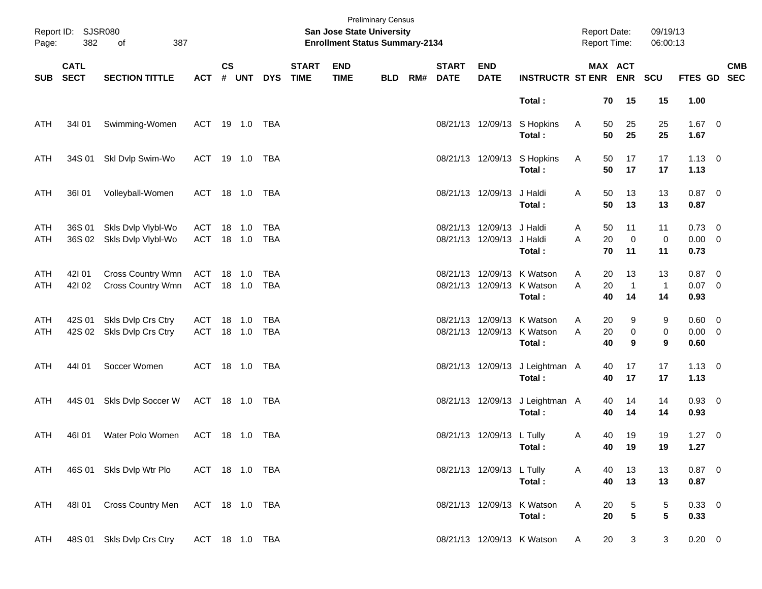| Page:      | Report ID: SJSR080<br>382  | 387<br>of                                |                   |               |                  |                   |                             | San Jose State University<br><b>Enrollment Status Summary-2134</b> | <b>Preliminary Census</b> |     |                             |                                                |                                                                    | <b>Report Date:</b><br><b>Report Time:</b> |                                     | 09/19/13<br>06:00:13     |                                       |            |
|------------|----------------------------|------------------------------------------|-------------------|---------------|------------------|-------------------|-----------------------------|--------------------------------------------------------------------|---------------------------|-----|-----------------------------|------------------------------------------------|--------------------------------------------------------------------|--------------------------------------------|-------------------------------------|--------------------------|---------------------------------------|------------|
| <b>SUB</b> | <b>CATL</b><br><b>SECT</b> | <b>SECTION TITTLE</b>                    | <b>ACT</b>        | $\mathsf{cs}$ | # UNT            | <b>DYS</b>        | <b>START</b><br><b>TIME</b> | <b>END</b><br><b>TIME</b>                                          | <b>BLD</b>                | RM# | <b>START</b><br><b>DATE</b> | <b>END</b><br><b>DATE</b>                      | <b>INSTRUCTR ST ENR ENR</b>                                        |                                            | MAX ACT                             | <b>SCU</b>               | FTES GD SEC                           | <b>CMB</b> |
|            |                            |                                          |                   |               |                  |                   |                             |                                                                    |                           |     |                             |                                                | Total:                                                             |                                            | 15<br>70                            | 15                       | 1.00                                  |            |
| ATH        | 34101                      | Swimming-Women                           | ACT 19 1.0 TBA    |               |                  |                   |                             |                                                                    |                           |     |                             | 08/21/13 12/09/13                              | S Hopkins<br>Total:                                                | A                                          | 25<br>50<br>50<br>25                | 25<br>25                 | $1.67$ 0<br>1.67                      |            |
| ATH        | 34S 01                     | Skl Dvlp Swim-Wo                         | ACT 19 1.0 TBA    |               |                  |                   |                             |                                                                    |                           |     |                             |                                                | 08/21/13 12/09/13 S Hopkins<br>Total:                              | A                                          | 17<br>50<br>50<br>17                | 17<br>17                 | $1.13 \ 0$<br>1.13                    |            |
| ATH        | 36101                      | Volleyball-Women                         | ACT 18 1.0 TBA    |               |                  |                   |                             |                                                                    |                           |     |                             | 08/21/13 12/09/13                              | J Haldi<br>Total:                                                  | A                                          | 50<br>13<br>50<br>13                | 13<br>13                 | $0.87$ 0<br>0.87                      |            |
| ATH<br>ATH | 36S 01<br>36S 02           | Skls Dvlp Vlybl-Wo<br>Skls Dvlp Vlybl-Wo | ACT<br>ACT 18 1.0 |               | 18 1.0           | <b>TBA</b><br>TBA |                             |                                                                    |                           |     |                             | 08/21/13 12/09/13 J Haldi<br>08/21/13 12/09/13 | J Haldi<br>Total:                                                  | A<br>20<br>A                               | 11<br>50<br>$\mathbf 0$<br>70<br>11 | 11<br>$\pmb{0}$<br>11    | $0.73 \quad 0$<br>$0.00 \t 0$<br>0.73 |            |
| ATH<br>ATH | 421 01<br>421 02           | Cross Country Wmn<br>Cross Country Wmn   | ACT<br>ACT 18 1.0 |               | 18 1.0           | TBA<br>TBA        |                             |                                                                    |                           |     |                             |                                                | 08/21/13 12/09/13 K Watson<br>08/21/13 12/09/13 K Watson<br>Total: | A<br>A<br>20<br>40                         | 13<br>20<br>$\overline{1}$<br>14    | 13<br>$\mathbf{1}$<br>14 | $0.87$ 0<br>$0.07$ 0<br>0.93          |            |
| ATH<br>ATH | 42S 01<br>42S 02           | Skls Dvlp Crs Ctry<br>Skls Dvlp Crs Ctry | ACT<br>ACT        |               | 18 1.0<br>18 1.0 | TBA<br>TBA        |                             |                                                                    |                           |     |                             |                                                | 08/21/13 12/09/13 K Watson<br>08/21/13 12/09/13 K Watson<br>Total: | 20<br>A<br>A<br>20<br>40                   | 9<br>$\pmb{0}$<br>9                 | 9<br>$\pmb{0}$<br>9      | $0.60 \t 0$<br>$0.00 \t 0$<br>0.60    |            |
| ATH        | 44101                      | Soccer Women                             | ACT 18 1.0 TBA    |               |                  |                   |                             |                                                                    |                           |     |                             | 08/21/13 12/09/13                              | J Leightman A<br>Total:                                            |                                            | 17<br>40<br>40<br>17                | 17<br>17                 | $1.13 \ 0$<br>1.13                    |            |
| ATH        | 44S 01                     | Skls Dvlp Soccer W                       | ACT 18 1.0 TBA    |               |                  |                   |                             |                                                                    |                           |     |                             | 08/21/13 12/09/13                              | J Leightman A<br>Total:                                            | 40                                         | 40<br>14<br>14                      | 14<br>14                 | 0.93 0<br>0.93                        |            |
| ATH        | 46I 01                     | Water Polo Women                         | ACT 18 1.0 TBA    |               |                  |                   |                             |                                                                    |                           |     |                             | 08/21/13 12/09/13 L Tully                      | Total:                                                             | A                                          | 19<br>40<br>40<br>19                | 19<br>19                 | $1.27 \t 0$<br>1.27                   |            |
| ATH        |                            | 46S 01 Skls Dvlp Wtr Plo                 | ACT 18 1.0 TBA    |               |                  |                   |                             |                                                                    |                           |     |                             | 08/21/13 12/09/13 L Tully                      | Total:                                                             | A                                          | 13<br>40<br>40<br>13                | 13<br>13                 | $0.87$ 0<br>0.87                      |            |
| ATH        | 48I 01                     | <b>Cross Country Men</b>                 | ACT 18 1.0 TBA    |               |                  |                   |                             |                                                                    |                           |     |                             |                                                | 08/21/13 12/09/13 K Watson<br>Total :                              | Α                                          | 20<br>5<br>$5\phantom{.0}$<br>20    | 5<br>$5\phantom{.0}$     | 0.33 0<br>0.33                        |            |
| ATH        |                            | 48S 01 Skls Dvlp Crs Ctry                | ACT 18 1.0 TBA    |               |                  |                   |                             |                                                                    |                           |     |                             |                                                | 08/21/13 12/09/13 K Watson                                         | A                                          | 20<br>3                             | 3                        | $0.20\quad 0$                         |            |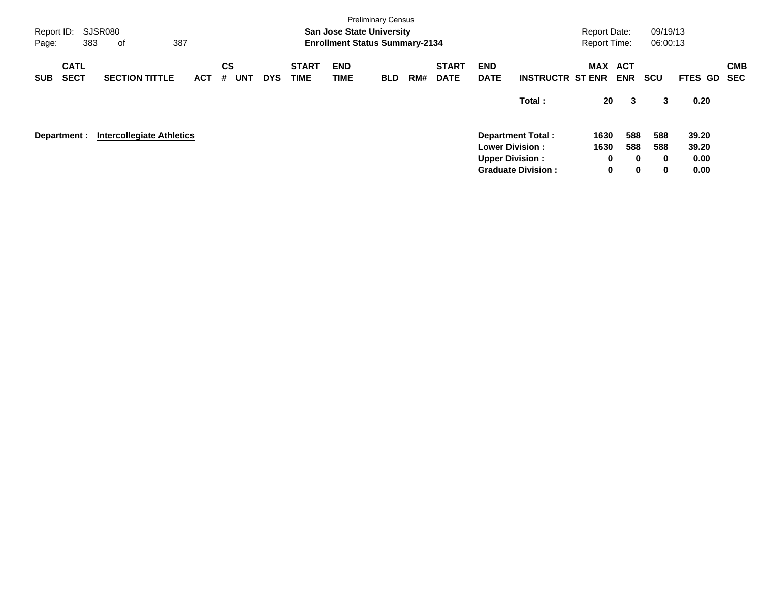| <b>SJSR080</b><br>Report ID:<br>383<br>Page:<br>оf | 387                                 |                                            |                             | <b>San Jose State University</b><br><b>Enrollment Status Summary-2134</b> | <b>Preliminary Census</b> |     |                             |                                                  |                                                       | <b>Report Date:</b><br><b>Report Time:</b> |                                       | 09/19/13<br>06:00:13        |                                |                          |
|----------------------------------------------------|-------------------------------------|--------------------------------------------|-----------------------------|---------------------------------------------------------------------------|---------------------------|-----|-----------------------------|--------------------------------------------------|-------------------------------------------------------|--------------------------------------------|---------------------------------------|-----------------------------|--------------------------------|--------------------------|
| <b>CATL</b><br><b>SECT</b><br><b>SUB</b>           | <b>SECTION TITTLE</b><br><b>ACT</b> | <b>CS</b><br><b>UNT</b><br><b>DYS</b><br># | <b>START</b><br><b>TIME</b> | <b>END</b><br><b>TIME</b>                                                 | <b>BLD</b>                | RM# | <b>START</b><br><b>DATE</b> | <b>END</b><br><b>DATE</b>                        | <b>INSTRUCTR ST ENR</b>                               | MAX                                        | ACT<br><b>ENR</b>                     | <b>SCU</b>                  | FTES GD                        | <b>CMB</b><br><b>SEC</b> |
|                                                    |                                     |                                            |                             |                                                                           |                           |     |                             |                                                  | Total:                                                | 20                                         | 3                                     | 3                           | 0.20                           |                          |
| Department :                                       | <b>Intercollegiate Athletics</b>    |                                            |                             |                                                                           |                           |     |                             | <b>Lower Division:</b><br><b>Upper Division:</b> | <b>Department Total:</b><br><b>Graduate Division:</b> | 1630<br>1630<br>0<br>$\mathbf 0$           | 588<br>588<br>$\bf{0}$<br>$\mathbf 0$ | 588<br>588<br>$\bf{0}$<br>0 | 39.20<br>39.20<br>0.00<br>0.00 |                          |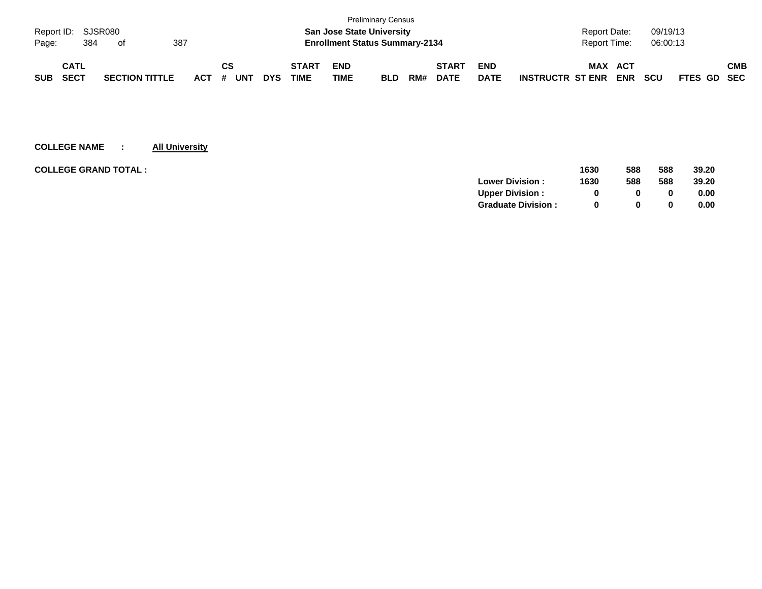|                    |             |     |                       |     |         |    |     |            |              |            | <b>Preliminary Census</b>             |     |              |             |                                                     |             |     |
|--------------------|-------------|-----|-----------------------|-----|---------|----|-----|------------|--------------|------------|---------------------------------------|-----|--------------|-------------|-----------------------------------------------------|-------------|-----|
| Report ID: SJSR080 |             |     |                       |     |         |    |     |            |              |            | <b>San Jose State University</b>      |     |              |             | 09/19/13<br><b>Report Date:</b>                     |             |     |
| Page:              |             | 384 | of                    | 387 |         |    |     |            |              |            | <b>Enrollment Status Summary-2134</b> |     |              |             | 06:00:13<br><b>Report Time:</b>                     |             |     |
|                    | <b>CATL</b> |     |                       |     |         | CS |     |            | <b>START</b> | <b>END</b> |                                       |     | <b>START</b> | <b>END</b>  | <b>MAX</b><br>ACT                                   |             | СМВ |
| <b>SUB</b>         | <b>SECT</b> |     | <b>SECTION TITTLE</b> |     | $ACT$ # |    | UNT | <b>DYS</b> | <b>TIME</b>  | TIME       | <b>BLD</b>                            | RM# | <b>DATE</b>  | <b>DATE</b> | <b>ENR</b><br><b>SCU</b><br><b>INSTRUCTR ST ENR</b> | FTES GD SEC |     |

| <b>COLLEGE GRAND TOTAL :</b> |                           | 1630 | 588          | 588          | 39.20 |
|------------------------------|---------------------------|------|--------------|--------------|-------|
|                              | <b>Lower Division:</b>    | 1630 | 588          | 588          | 39.20 |
|                              | <b>Upper Division:</b>    |      | 0            | 0            | 0.00  |
|                              | <b>Graduate Division:</b> |      | <sup>0</sup> | $\mathbf{0}$ | 0.00  |
|                              |                           |      |              |              |       |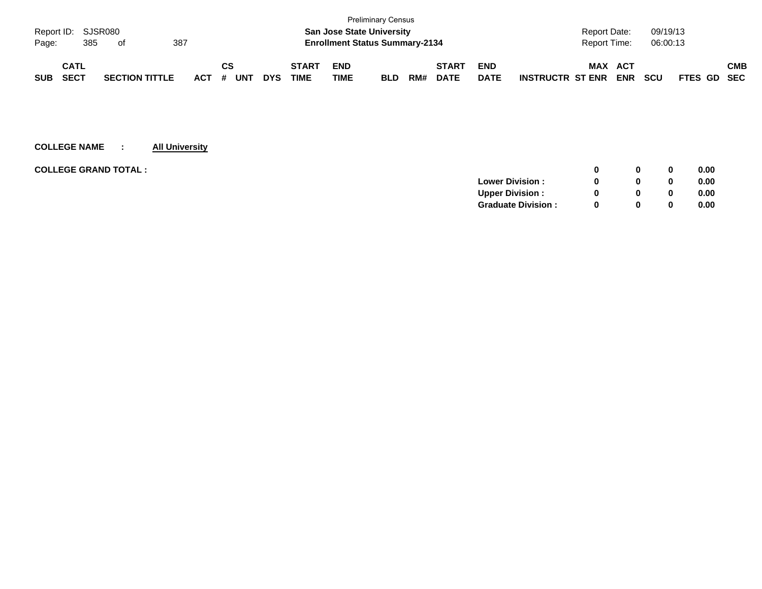|            |                    |                       |     |         |    |            |            |              |                                       | <b>Preliminary Census</b> |     |              |             |                         |              |            |            |                    |            |
|------------|--------------------|-----------------------|-----|---------|----|------------|------------|--------------|---------------------------------------|---------------------------|-----|--------------|-------------|-------------------------|--------------|------------|------------|--------------------|------------|
|            | Report ID: SJSR080 |                       |     |         |    |            |            |              | <b>San Jose State University</b>      |                           |     |              |             |                         | Report Date: |            | 09/19/13   |                    |            |
| Page:      | 385                | of                    | 387 |         |    |            |            |              | <b>Enrollment Status Summary-2134</b> |                           |     |              |             |                         | Report Time: |            | 06:00:13   |                    |            |
|            | <b>CATL</b>        |                       |     |         | СS |            |            | <b>START</b> | <b>END</b>                            |                           |     | <b>START</b> | <b>END</b>  |                         | <b>MAX</b>   | ACT        |            |                    | <b>CMB</b> |
| <b>SUB</b> | <b>SECT</b>        | <b>SECTION TITTLE</b> |     | $ACT$ # |    | <b>UNT</b> | <b>DYS</b> | TIME         | <b>TIME</b>                           | <b>BLD</b>                | RM# | <b>DATE</b>  | <b>DATE</b> | <b>INSTRUCTR ST ENR</b> |              | <b>ENR</b> | <b>SCU</b> | <b>FTES GD SEC</b> |            |

| <b>COLLEGE GRAND TOTAL:</b> | 0            | 0            | 0.00 |
|-----------------------------|--------------|--------------|------|
| <b>Lower Division:</b>      | 0            | 0            | 0.00 |
| <b>Upper Division:</b>      | <sup>0</sup> | 0            | 0.00 |
| <b>Graduate Division:</b>   | <sup>0</sup> | $\mathbf{0}$ | 0.00 |